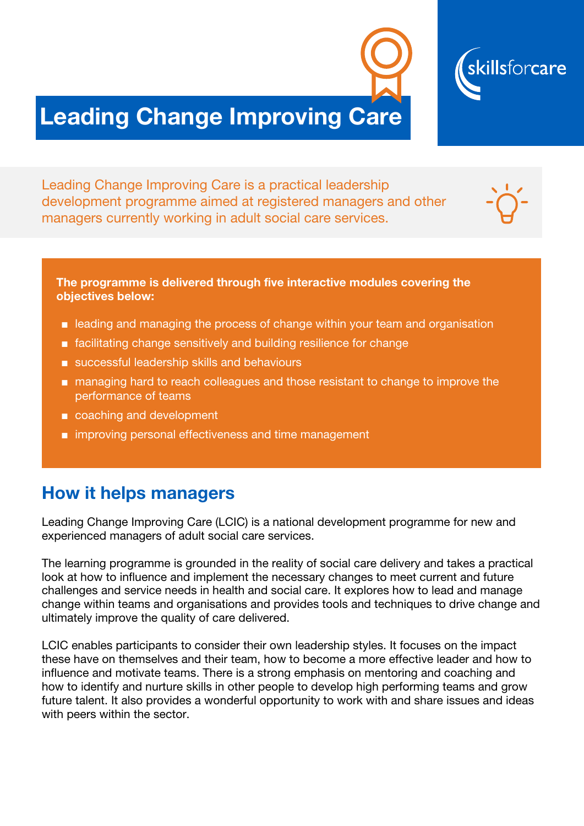

Leading Change Improving Care is a practical leadership development programme aimed at registered managers and other managers currently working in adult social care services.

The programme is delivered through five interactive modules covering the objectives below:

■ leading and managing the process of change within your team and organisation

skillsforcare

- facilitating change sensitively and building resilience for change
- successful leadership skills and behaviours
- managing hard to reach colleagues and those resistant to change to improve the performance of teams
- coaching and development
- improving personal effectiveness and time management

#### How it helps managers

Leading Change Improving Care (LCIC) is a national development programme for new and experienced managers of adult social care services.

The learning programme is grounded in the reality of social care delivery and takes a practical look at how to influence and implement the necessary changes to meet current and future challenges and service needs in health and social care. It explores how to lead and manage change within teams and organisations and provides tools and techniques to drive change and ultimately improve the quality of care delivered.

LCIC enables participants to consider their own leadership styles. It focuses on the impact these have on themselves and their team, how to become a more effective leader and how to influence and motivate teams. There is a strong emphasis on mentoring and coaching and how to identify and nurture skills in other people to develop high performing teams and grow future talent. It also provides a wonderful opportunity to work with and share issues and ideas with peers within the sector.